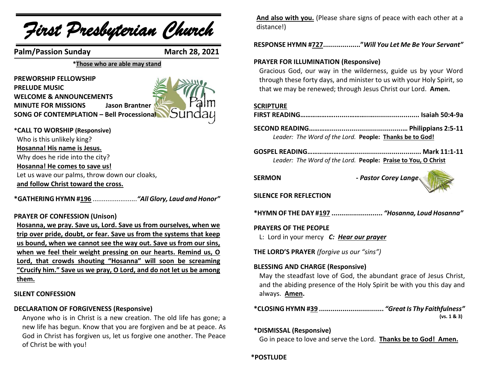

# **them.**

#### **SILENT CONFESSION**

#### **DECLARATION OF FORGIVENESS (Responsive)**

Anyone who is in Christ is a new creation. The old life has gone; a new life has begun. Know that you are forgiven and be at peace. As God in Christ has forgiven us, let us forgive one another. The Peace of Christ be with you!

**And also with you.** (Please share signs of peace with each other at a distance!)

**RESPONSE HYMN #727..................."***Will You Let Me Be Your Servant"*

# **PRAYER FOR ILLUMINATION (Responsive)**

Gracious God, our way in the wilderness, guide us by your Word through these forty days, and minister to us with your Holy Spirit, so that we may be renewed; through Jesus Christ our Lord. **Amen.**

#### **SCRIPTURE**

|--|--|

**SECOND READING………….....................................… Philippians 2:5-11** *Leader: The Word of the Lord.* **People: Thanks be to God!**

**GOSPEL READING……………………….................................. Mark 11:1-11** *Leader: The Word of the Lord.* **People: Praise to You, O Christ**

**SERMON -** *Pastor Corey Lange*



#### **SILENCE FOR REFLECTION**

**\*HYMN OF THE DAY #197 ..........................** *"Hosanna, Loud Hosanna"*

#### **PRAYERS OF THE PEOPLE**

L: Lord in your mercy *C: Hear our prayer*

**THE LORD'S PRAYER** *(forgive us our "sins")* 

### **BLESSING AND CHARGE (Responsive)**

May the steadfast love of God, the abundant grace of Jesus Christ, and the abiding presence of the Holy Spirit be with you this day and always. **Amen.**

**\*CLOSING HYMN #39 .................................** *"Great Is Thy Faithfulness"*  **(vs. 1 & 3)**

#### **\*DISMISSAL (Responsive)**

Go in peace to love and serve the Lord. **Thanks be to God! Amen.**

**\*POSTLUDE**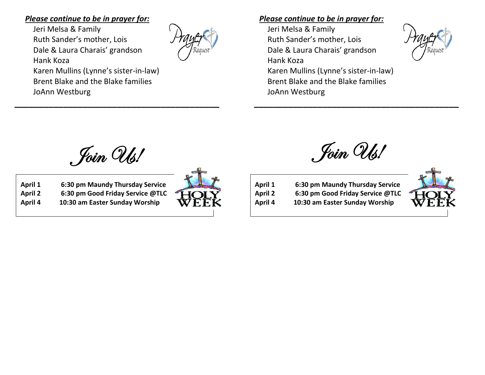# *Please continue to be in prayer for:*

Jeri Melsa & Family Ruth Sander's mother, Lois Dale & Laura Charais' grandson Hank Koza Karen Mullins (Lynne's sister-in-law) Brent Blake and the Blake families JoAnn Westburg



# *Please continue to be in prayer for:*

Jeri Melsa & Family Ruth Sander's mother, Lois Dale & Laura Charais' grandson Hank Koza Karen Mullins (Lynne's sister-in-law) Brent Blake and the Blake families JoAnn Westburg

Join Us!

**\_\_\_\_\_\_\_\_\_\_\_\_\_\_\_\_\_\_\_\_\_\_\_\_\_\_\_\_\_\_\_\_\_\_\_\_\_\_\_\_\_\_**

**April 1 6:30 pm Maundy Thursday Service April 2 6:30 pm Good Friday Service @TLC**

**April 4 10:30 am Easter Sunday Worship**



Join Us!

**\_\_\_\_\_\_\_\_\_\_\_\_\_\_\_\_\_\_\_\_\_\_\_\_\_\_\_\_\_\_\_\_\_\_\_\_\_\_\_\_\_\_**

 **April 1 6:30 pm Maundy Thursday Service April 2 6:30 pm Good Friday Service @TLC April 4 10:30 am Easter Sunday Worship**

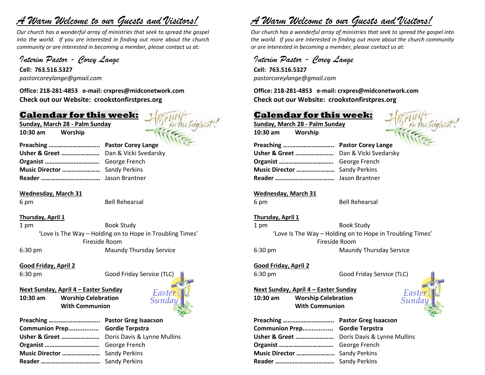# *A Warm Welcome to our Guests and Visitors!*

*Our church has a wonderful array of ministries that seek to spread the gospel into the world. If you are interested in finding out more about the church community or are interested in becoming a member, please contact us at:*

# *Interim Pastor - Corey Lange*

**Cell: 763.516.5327** *pastorcoreylange@gmail.com*

**Office: 218-281-4853 e-mail: crxpres@midconetwork.com Check out our Website: crookstonfirstpres.org**

# **Calendar for this week:**

**Sunday, March 28 - Palm Sunday 10:30 am Worship** 



| Music Director  Sandy Perkins |  |
|-------------------------------|--|
|                               |  |

**Wednesday, March 31**

6 pm Bell Rehearsal

**Thursday, April 1**

1 pm Book Study 'Love Is The Way – Holding on to Hope in Troubling Times' Fireside Room 6:30 pm Maundy Thursday Service

#### **Good Friday, April 2**

#### **Next Sunday, April 4 – Easter Sunday**

**10:30 am Worship Celebration With Communion**



| Preaching  Pastor Greg Isaacson            |  |
|--------------------------------------------|--|
| Communion Prep Gordie Terpstra             |  |
| Usher & Greet  Doris Davis & Lynne Mullins |  |
|                                            |  |
| Music Director  Sandy Perkins              |  |
|                                            |  |

# *A Warm Welcome to our Guests and Visitors!*

*Our church has a wonderful array of ministries that seek to spread the gospel into the world. If you are interested in finding out more about the church community or are interested in becoming a member, please contact us at:*

# *Interim Pastor - Corey Lange*

**Cell: 763.516.5327** *pastorcoreylange@gmail.com*

**Office: 218-281-4853 e-mail: crxpres@midconetwork.com Check out our Website: crookstonfirstpres.org**

# **Calendar for this week:**

**Sunday, March 28 - Palm Sunday 10:30 am Worship** 



*Easte* 

#### **Wednesday, March 31**

6 pm Bell Rehearsal

#### **Thursday, April 1**

1 pm Book Study 'Love Is The Way – Holding on to Hope in Troubling Times' Fireside Room 6:30 pm Maundy Thursday Service

#### **Good Friday, April 2**

6:30 pm Good Friday Service (TLC)

**Next Sunday, April 4 – Easter Sunday 10:30 am Worship Celebration With Communion**

| Communion Prep Gordie Terpstra |  |
|--------------------------------|--|
|                                |  |
|                                |  |
| Music Director  Sandy Perkins  |  |
|                                |  |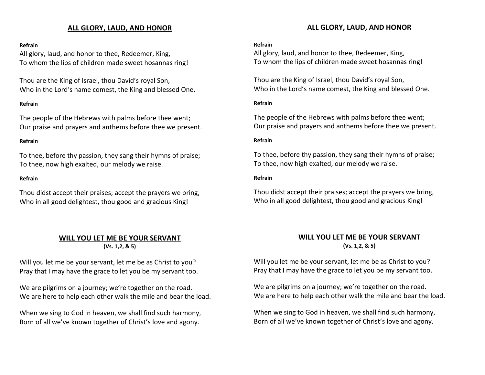# **ALL GLORY, LAUD, AND HONOR**

#### **Refrain**

All glory, laud, and honor to thee, Redeemer, King, To whom the lips of children made sweet hosannas ring!

Thou are the King of Israel, thou David's royal Son, Who in the Lord's name comest, the King and blessed One.

#### **Refrain**

The people of the Hebrews with palms before thee went; Our praise and prayers and anthems before thee we present.

#### **Refrain**

To thee, before thy passion, they sang their hymns of praise; To thee, now high exalted, our melody we raise.

#### **Refrain**

Thou didst accept their praises; accept the prayers we bring, Who in all good delightest, thou good and gracious King!

#### **WILL YOU LET ME BE YOUR SERVANT (Vs. 1,2, & 5)**

Will you let me be your servant, let me be as Christ to you? Pray that I may have the grace to let you be my servant too.

We are pilgrims on a journey; we're together on the road. We are here to help each other walk the mile and bear the load.

When we sing to God in heaven, we shall find such harmony, Born of all we've known together of Christ's love and agony.

#### **ALL GLORY, LAUD, AND HONOR**

#### **Refrain**

All glory, laud, and honor to thee, Redeemer, King, To whom the lips of children made sweet hosannas ring!

Thou are the King of Israel, thou David's royal Son, Who in the Lord's name comest, the King and blessed One.

#### **Refrain**

The people of the Hebrews with palms before thee went; Our praise and prayers and anthems before thee we present.

#### **Refrain**

To thee, before thy passion, they sang their hymns of praise; To thee, now high exalted, our melody we raise.

#### **Refrain**

Thou didst accept their praises; accept the prayers we bring, Who in all good delightest, thou good and gracious King!

## **WILL YOU LET ME BE YOUR SERVANT (Vs. 1,2, & 5)**

Will you let me be your servant, let me be as Christ to you? Pray that I may have the grace to let you be my servant too.

We are pilgrims on a journey; we're together on the road. We are here to help each other walk the mile and bear the load.

When we sing to God in heaven, we shall find such harmony, Born of all we've known together of Christ's love and agony.